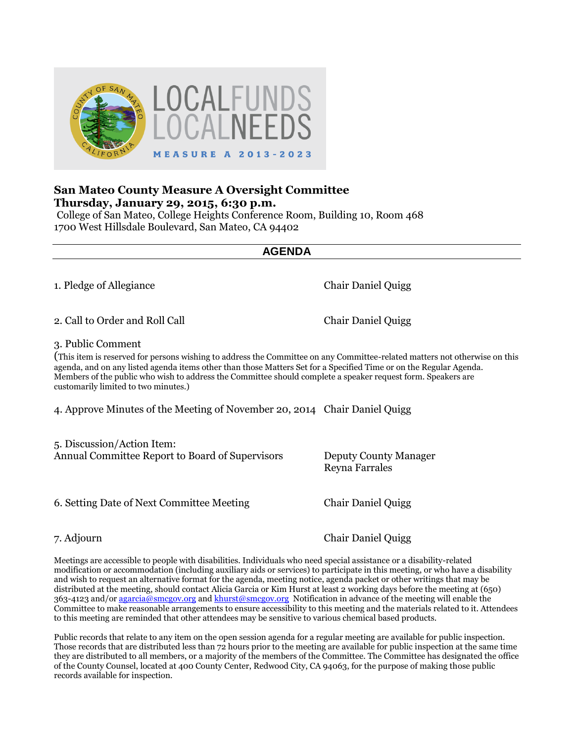

# **San Mateo County Measure A Oversight Committee Thursday, January 29, 2015, 6:30 p.m.**

College of San Mateo, College Heights Conference Room, Building 10, Room 468 1700 West Hillsdale Boulevard, San Mateo, CA 94402

**AGENDA**

1. Pledge of Allegiance Chair Daniel Quigg

2. Call to Order and Roll Call Call Chair Daniel Quigg

3. Public Comment

(This item is reserved for persons wishing to address the Committee on any Committee-related matters not otherwise on this agenda, and on any listed agenda items other than those Matters Set for a Specified Time or on the Regular Agenda. Members of the public who wish to address the Committee should complete a speaker request form. Speakers are customarily limited to two minutes.)

4. Approve Minutes of the Meeting of November 20, 2014 Chair Daniel Quigg

5. Discussion/Action Item: Annual Committee Report to Board of Supervisors Deputy County Manager

6. Setting Date of Next Committee Meeting Chair Daniel Quigg

Reyna Farrales

7. Adjourn Chair Daniel Quigg

Meetings are accessible to people with disabilities. Individuals who need special assistance or a disability-related modification or accommodation (including auxiliary aids or services) to participate in this meeting, or who have a disability and wish to request an alternative format for the agenda, meeting notice, agenda packet or other writings that may be distributed at the meeting, should contact Alicia Garcia or Kim Hurst at least 2 working days before the meeting at (650) 363-4123 and/or [agarcia@smcgov.org](mailto:agarcia@smcgov.org) an[d khurst@smcgov.org](mailto:khurst@smcgov.org) Notification in advance of the meeting will enable the Committee to make reasonable arrangements to ensure accessibility to this meeting and the materials related to it. Attendees to this meeting are reminded that other attendees may be sensitive to various chemical based products.

Public records that relate to any item on the open session agenda for a regular meeting are available for public inspection. Those records that are distributed less than 72 hours prior to the meeting are available for public inspection at the same time they are distributed to all members, or a majority of the members of the Committee. The Committee has designated the office of the County Counsel, located at 400 County Center, Redwood City, CA 94063, for the purpose of making those public records available for inspection.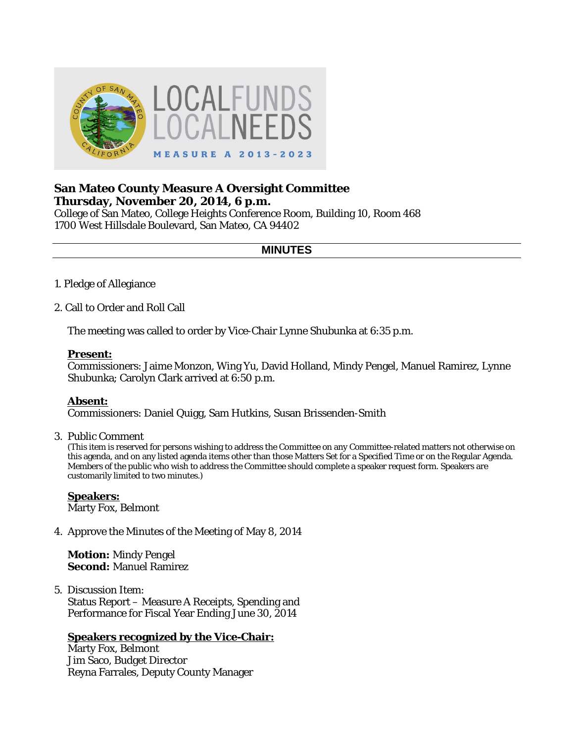

# **San Mateo County Measure A Oversight Committee Thursday, November 20, 2014, 6 p.m.**

College of San Mateo, College Heights Conference Room, Building 10, Room 468 1700 West Hillsdale Boulevard, San Mateo, CA 94402

# **MINUTES**

- 1. Pledge of Allegiance
- 2. Call to Order and Roll Call

The meeting was called to order by Vice-Chair Lynne Shubunka at 6:35 p.m.

### **Present:**

Commissioners: Jaime Monzon, Wing Yu, David Holland, Mindy Pengel, Manuel Ramirez, Lynne Shubunka; Carolyn Clark arrived at 6:50 p.m.

#### **Absent:**

Commissioners: Daniel Quigg, Sam Hutkins, Susan Brissenden-Smith

3. Public Comment

(This item is reserved for persons wishing to address the Committee on any Committee-related matters not otherwise on this agenda, and on any listed agenda items other than those Matters Set for a Specified Time or on the Regular Agenda. Members of the public who wish to address the Committee should complete a speaker request form. Speakers are customarily limited to two minutes.)

# **Speakers:**

Marty Fox, Belmont

4. Approve the Minutes of the Meeting of May 8, 2014

**Motion:** Mindy Pengel **Second:** Manuel Ramirez

5. Discussion Item: Status Report – Measure A Receipts, Spending and Performance for Fiscal Year Ending June 30, 2014

# **Speakers recognized by the Vice-Chair:**

Marty Fox, Belmont Jim Saco, Budget Director Reyna Farrales, Deputy County Manager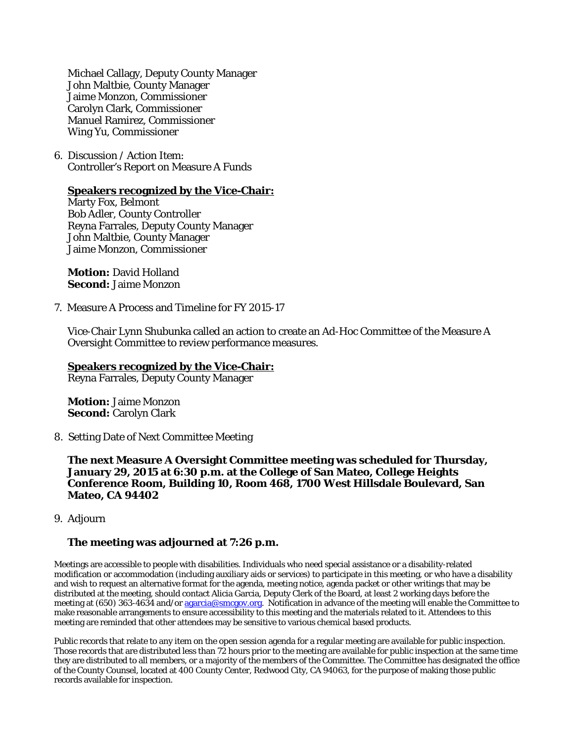Michael Callagy, Deputy County Manager John Maltbie, County Manager Jaime Monzon, Commissioner Carolyn Clark, Commissioner Manuel Ramirez, Commissioner Wing Yu, Commissioner

6. Discussion / Action Item: Controller's Report on Measure A Funds

#### **Speakers recognized by the Vice-Chair:**

Marty Fox, Belmont Bob Adler, County Controller Reyna Farrales, Deputy County Manager John Maltbie, County Manager Jaime Monzon, Commissioner

**Motion:** David Holland **Second:** Jaime Monzon

7. Measure A Process and Timeline for FY 2015-17

Vice-Chair Lynn Shubunka called an action to create an Ad-Hoc Committee of the Measure A Oversight Committee to review performance measures.

**Speakers recognized by the Vice-Chair:** Reyna Farrales, Deputy County Manager

**Motion:** Jaime Monzon **Second:** Carolyn Clark

8. Setting Date of Next Committee Meeting

**The next Measure A Oversight Committee meeting was scheduled for Thursday, January 29, 2015 at 6:30 p.m. at the College of San Mateo, College Heights Conference Room, Building 10, Room 468, 1700 West Hillsdale Boulevard, San Mateo, CA 94402**

9. Adjourn

#### **The meeting was adjourned at 7:26 p.m.**

Meetings are accessible to people with disabilities. Individuals who need special assistance or a disability-related modification or accommodation (including auxiliary aids or services) to participate in this meeting, or who have a disability and wish to request an alternative format for the agenda, meeting notice, agenda packet or other writings that may be distributed at the meeting, should contact Alicia Garcia, Deputy Clerk of the Board, at least 2 working days before the meeting at (650) 363-4634 and/or [agarcia@smcgov.org.](mailto:agarcia@smcgov.org) Notification in advance of the meeting will enable the Committee to make reasonable arrangements to ensure accessibility to this meeting and the materials related to it. Attendees to this meeting are reminded that other attendees may be sensitive to various chemical based products.

Public records that relate to any item on the open session agenda for a regular meeting are available for public inspection. Those records that are distributed less than 72 hours prior to the meeting are available for public inspection at the same time they are distributed to all members, or a majority of the members of the Committee. The Committee has designated the office of the County Counsel, located at 400 County Center, Redwood City, CA 94063, for the purpose of making those public records available for inspection.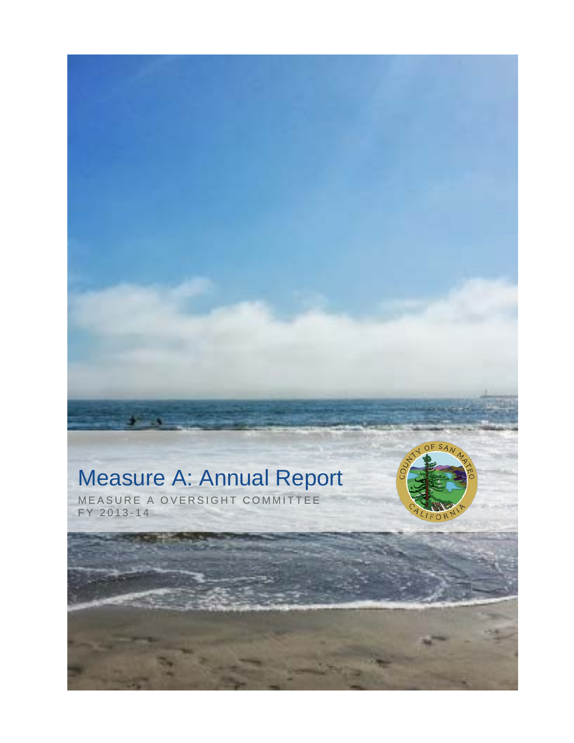# Measure A: Annual Report



MEASURE A OVERSIGHT COMMITTEE FY 2013 - 1 4

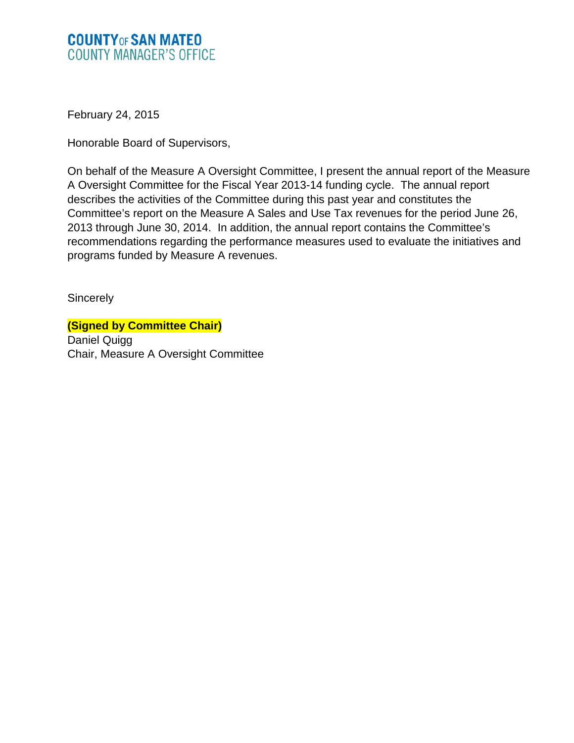# **COUNTY OF SAN MATEO COUNTY MANAGER'S OFFICE**

February 24, 2015

Honorable Board of Supervisors,

On behalf of the Measure A Oversight Committee, I present the annual report of the Measure A Oversight Committee for the Fiscal Year 2013-14 funding cycle. The annual report describes the activities of the Committee during this past year and constitutes the Committee's report on the Measure A Sales and Use Tax revenues for the period June 26, 2013 through June 30, 2014. In addition, the annual report contains the Committee's recommendations regarding the performance measures used to evaluate the initiatives and programs funded by Measure A revenues.

**Sincerely** 

**(Signed by Committee Chair)** Daniel Quigg Chair, Measure A Oversight Committee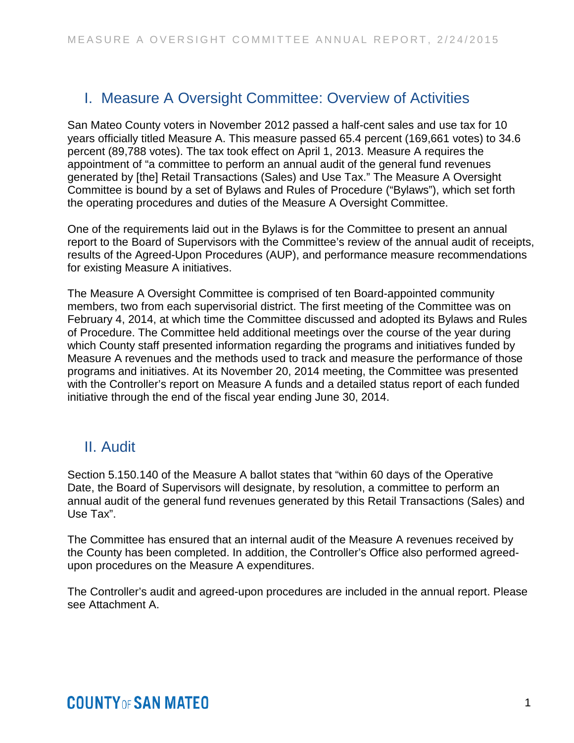# I. Measure A Oversight Committee: Overview of Activities

San Mateo County voters in November 2012 passed a half-cent sales and use tax for 10 years officially titled Measure A. This measure passed 65.4 percent (169,661 votes) to 34.6 percent (89,788 votes). The tax took effect on April 1, 2013. Measure A requires the appointment of "a committee to perform an annual audit of the general fund revenues generated by [the] Retail Transactions (Sales) and Use Tax." The Measure A Oversight Committee is bound by a set of Bylaws and Rules of Procedure ("Bylaws"), which set forth the operating procedures and duties of the Measure A Oversight Committee.

One of the requirements laid out in the Bylaws is for the Committee to present an annual report to the Board of Supervisors with the Committee's review of the annual audit of receipts, results of the Agreed-Upon Procedures (AUP), and performance measure recommendations for existing Measure A initiatives.

The Measure A Oversight Committee is comprised of ten Board-appointed community members, two from each supervisorial district. The first meeting of the Committee was on February 4, 2014, at which time the Committee discussed and adopted its Bylaws and Rules of Procedure. The Committee held additional meetings over the course of the year during which County staff presented information regarding the programs and initiatives funded by Measure A revenues and the methods used to track and measure the performance of those programs and initiatives. At its November 20, 2014 meeting, the Committee was presented with the Controller's report on Measure A funds and a detailed status report of each funded initiative through the end of the fiscal year ending June 30, 2014.

# II. Audit

Section 5.150.140 of the Measure A ballot states that "within 60 days of the Operative Date, the Board of Supervisors will designate, by resolution, a committee to perform an annual audit of the general fund revenues generated by this Retail Transactions (Sales) and Use Tax".

The Committee has ensured that an internal audit of the Measure A revenues received by the County has been completed. In addition, the Controller's Office also performed agreedupon procedures on the Measure A expenditures.

The Controller's audit and agreed-upon procedures are included in the annual report. Please see Attachment A.

# **COUNTY OF SAN MATEO**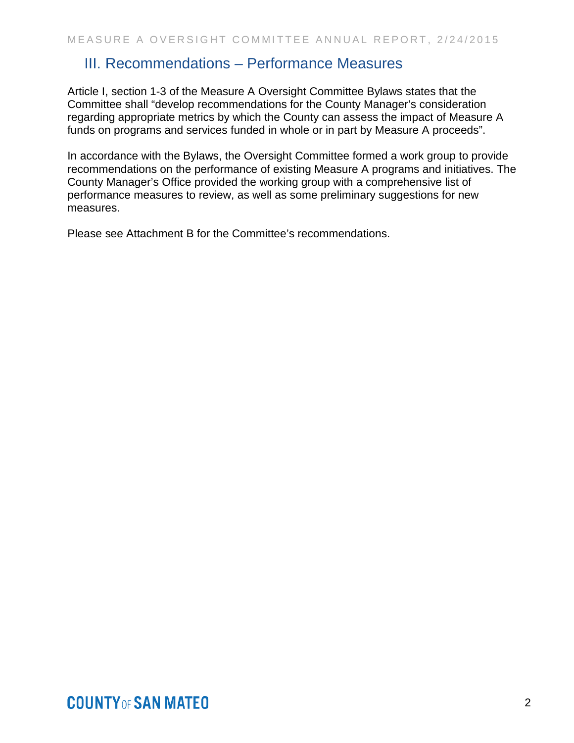# III. Recommendations – Performance Measures

Article I, section 1-3 of the Measure A Oversight Committee Bylaws states that the Committee shall "develop recommendations for the County Manager's consideration regarding appropriate metrics by which the County can assess the impact of Measure A funds on programs and services funded in whole or in part by Measure A proceeds".

In accordance with the Bylaws, the Oversight Committee formed a work group to provide recommendations on the performance of existing Measure A programs and initiatives. The County Manager's Office provided the working group with a comprehensive list of performance measures to review, as well as some preliminary suggestions for new measures.

Please see Attachment B for the Committee's recommendations.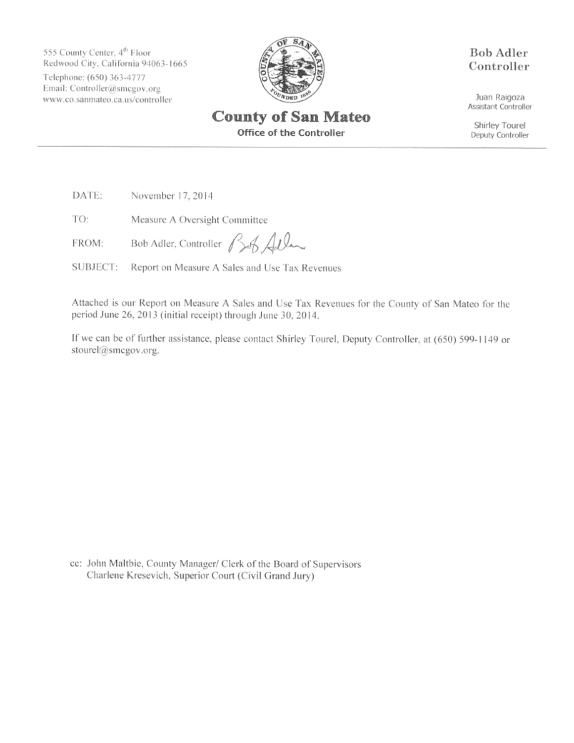555 County Center, 4<sup>th</sup> Floor Redwood City, California 94063-1665 Telephone: (650) 363-4777 Email: Controller@smcgov.org www.co.sanmateo.ca.us/controller



**Bob Adler** Controller

Juan Raigoza Assistant Controller

Shirley Tourel Deputy Controller

**Office of the Controller** 

DATE: November 17, 2014

TO: Measure A Oversight Committee

Bob Adler, Controller Bof Adler FROM:

Report on Measure A Sales and Use Tax Revenues SUBJECT:

Attached is our Report on Measure A Sales and Use Tax Revenues for the County of San Mateo for the period June 26, 2013 (initial receipt) through June 30, 2014.

If we can be of further assistance, please contact Shirley Tourel, Deputy Controller, at (650) 599-1149 or stourel@smcgov.org.

cc: John Maltbie, County Manager/ Clerk of the Board of Supervisors Charlene Kresevich, Superior Court (Civil Grand Jury)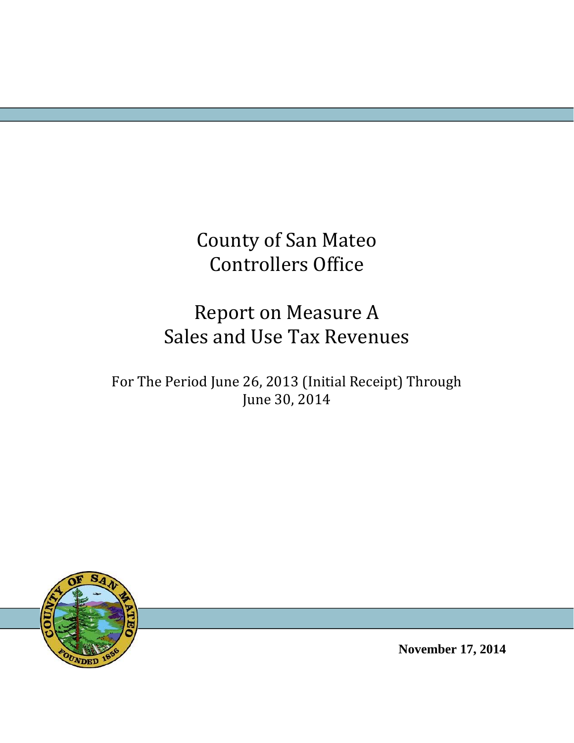County of San Mateo Controllers Office 

# Report on Measure A Sales and Use Tax Revenues

For The Period June 26, 2013 (Initial Receipt) Through June 30, 2014



**November 17, 2014**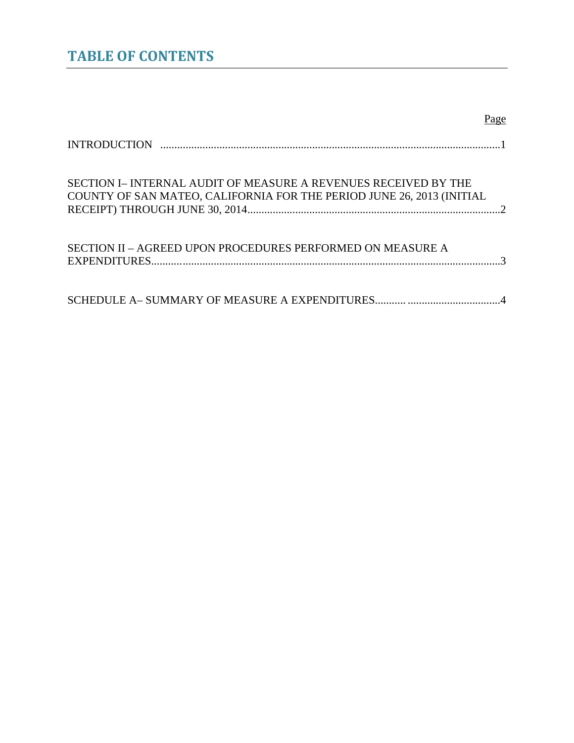# **TABLE OF CONTENTS**

# Page

| SECTION I– INTERNAL AUDIT OF MEASURE A REVENUES RECEIVED BY THE<br>COUNTY OF SAN MATEO, CALIFORNIA FOR THE PERIOD JUNE 26, 2013 (INITIAL |
|------------------------------------------------------------------------------------------------------------------------------------------|
| SECTION II – AGREED UPON PROCEDURES PERFORMED ON MEASURE A                                                                               |
|                                                                                                                                          |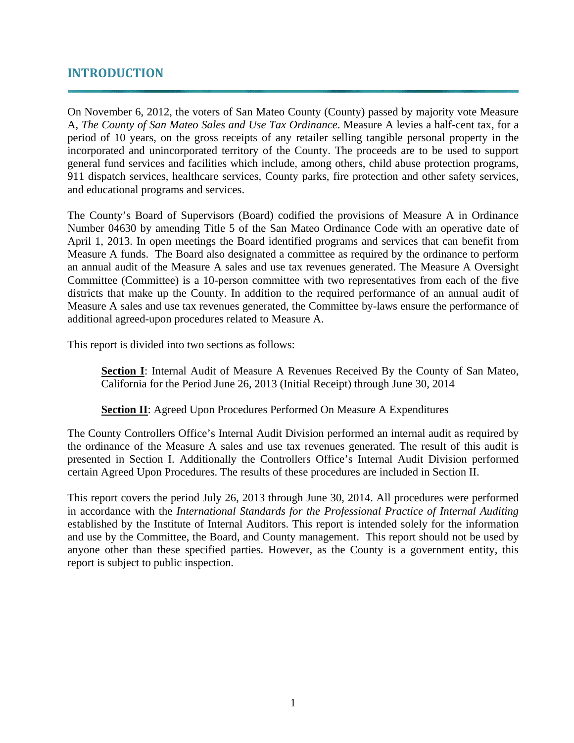# **INTRODUCTION**

On November 6, 2012, the voters of San Mateo County (County) passed by majority vote Measure A, *The County of San Mateo Sales and Use Tax Ordinance*. Measure A levies a half-cent tax, for a period of 10 years, on the gross receipts of any retailer selling tangible personal property in the incorporated and unincorporated territory of the County. The proceeds are to be used to support general fund services and facilities which include, among others, child abuse protection programs, 911 dispatch services, healthcare services, County parks, fire protection and other safety services, and educational programs and services.

The County's Board of Supervisors (Board) codified the provisions of Measure A in Ordinance Number 04630 by amending Title 5 of the San Mateo Ordinance Code with an operative date of April 1, 2013. In open meetings the Board identified programs and services that can benefit from Measure A funds. The Board also designated a committee as required by the ordinance to perform an annual audit of the Measure A sales and use tax revenues generated. The Measure A Oversight Committee (Committee) is a 10-person committee with two representatives from each of the five districts that make up the County. In addition to the required performance of an annual audit of Measure A sales and use tax revenues generated, the Committee by-laws ensure the performance of additional agreed-upon procedures related to Measure A.

This report is divided into two sections as follows:

**Section I**: Internal Audit of Measure A Revenues Received By the County of San Mateo, California for the Period June 26, 2013 (Initial Receipt) through June 30, 2014

# **Section II**: Agreed Upon Procedures Performed On Measure A Expenditures

The County Controllers Office's Internal Audit Division performed an internal audit as required by the ordinance of the Measure A sales and use tax revenues generated. The result of this audit is presented in Section I. Additionally the Controllers Office's Internal Audit Division performed certain Agreed Upon Procedures. The results of these procedures are included in Section II.

This report covers the period July 26, 2013 through June 30, 2014. All procedures were performed in accordance with the *International Standards for the Professional Practice of Internal Auditing*  established by the Institute of Internal Auditors. This report is intended solely for the information and use by the Committee, the Board, and County management. This report should not be used by anyone other than these specified parties. However, as the County is a government entity, this report is subject to public inspection.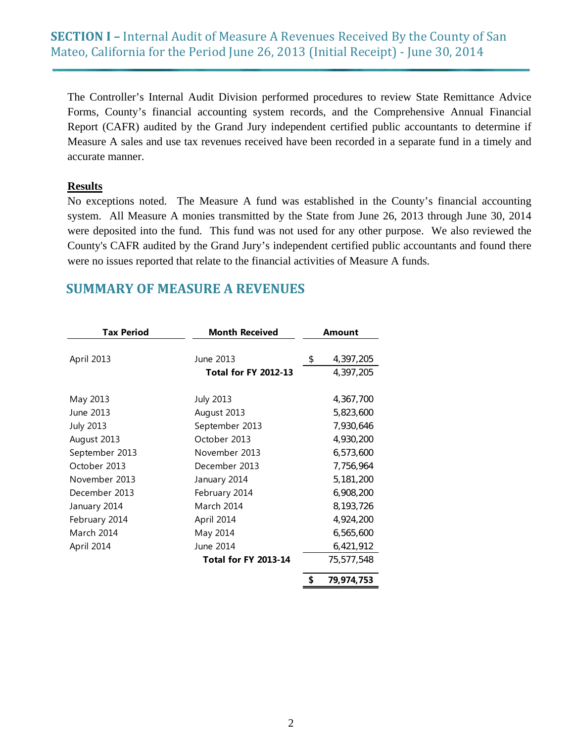The Controller's Internal Audit Division performed procedures to review State Remittance Advice Forms, County's financial accounting system records, and the Comprehensive Annual Financial Report (CAFR) audited by the Grand Jury independent certified public accountants to determine if Measure A sales and use tax revenues received have been recorded in a separate fund in a timely and accurate manner.

# **Results**

No exceptions noted. The Measure A fund was established in the County's financial accounting system. All Measure A monies transmitted by the State from June 26, 2013 through June 30, 2014 were deposited into the fund. This fund was not used for any other purpose. We also reviewed the County's CAFR audited by the Grand Jury's independent certified public accountants and found there were no issues reported that relate to the financial activities of Measure A funds.

# **SUMMARY OF MEASURE A REVENUES**

| <b>Tax Period</b> | <b>Month Received</b>                    | Amount                       |
|-------------------|------------------------------------------|------------------------------|
| April 2013        | June 2013<br><b>Total for FY 2012-13</b> | \$<br>4,397,205<br>4,397,205 |
| May 2013          | <b>July 2013</b>                         | 4,367,700                    |
| June 2013         | August 2013                              | 5,823,600                    |
| <b>July 2013</b>  | September 2013                           | 7,930,646                    |
| August 2013       | October 2013                             | 4,930,200                    |
| September 2013    | November 2013                            | 6,573,600                    |
| October 2013      | December 2013                            | 7,756,964                    |
| November 2013     | January 2014                             | 5,181,200                    |
| December 2013     | February 2014                            | 6,908,200                    |
| January 2014      | March 2014                               | 8,193,726                    |
| February 2014     | April 2014                               | 4,924,200                    |
| March 2014        | May 2014                                 | 6,565,600                    |
| April 2014        | June 2014                                | 6,421,912                    |
|                   | <b>Total for FY 2013-14</b>              | 75,577,548                   |
|                   |                                          | 79,974,753                   |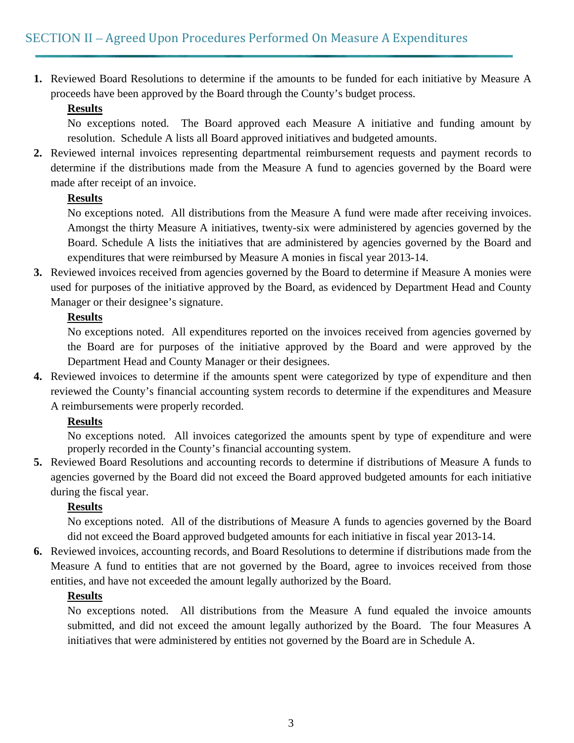**1.** Reviewed Board Resolutions to determine if the amounts to be funded for each initiative by Measure A proceeds have been approved by the Board through the County's budget process.

# **Results**

No exceptions noted. The Board approved each Measure A initiative and funding amount by resolution. Schedule A lists all Board approved initiatives and budgeted amounts.

**2.** Reviewed internal invoices representing departmental reimbursement requests and payment records to determine if the distributions made from the Measure A fund to agencies governed by the Board were made after receipt of an invoice.

# **Results**

No exceptions noted. All distributions from the Measure A fund were made after receiving invoices. Amongst the thirty Measure A initiatives, twenty-six were administered by agencies governed by the Board. Schedule A lists the initiatives that are administered by agencies governed by the Board and expenditures that were reimbursed by Measure A monies in fiscal year 2013-14.

**3.** Reviewed invoices received from agencies governed by the Board to determine if Measure A monies were used for purposes of the initiative approved by the Board, as evidenced by Department Head and County Manager or their designee's signature.

# **Results**

No exceptions noted. All expenditures reported on the invoices received from agencies governed by the Board are for purposes of the initiative approved by the Board and were approved by the Department Head and County Manager or their designees.

**4.** Reviewed invoices to determine if the amounts spent were categorized by type of expenditure and then reviewed the County's financial accounting system records to determine if the expenditures and Measure A reimbursements were properly recorded.

# **Results**

No exceptions noted. All invoices categorized the amounts spent by type of expenditure and were properly recorded in the County's financial accounting system.

**5.** Reviewed Board Resolutions and accounting records to determine if distributions of Measure A funds to agencies governed by the Board did not exceed the Board approved budgeted amounts for each initiative during the fiscal year.

# **Results**

No exceptions noted. All of the distributions of Measure A funds to agencies governed by the Board did not exceed the Board approved budgeted amounts for each initiative in fiscal year 2013-14.

**6.** Reviewed invoices, accounting records, and Board Resolutions to determine if distributions made from the Measure A fund to entities that are not governed by the Board, agree to invoices received from those entities, and have not exceeded the amount legally authorized by the Board.

# **Results**

No exceptions noted. All distributions from the Measure A fund equaled the invoice amounts submitted, and did not exceed the amount legally authorized by the Board. The four Measures A initiatives that were administered by entities not governed by the Board are in Schedule A.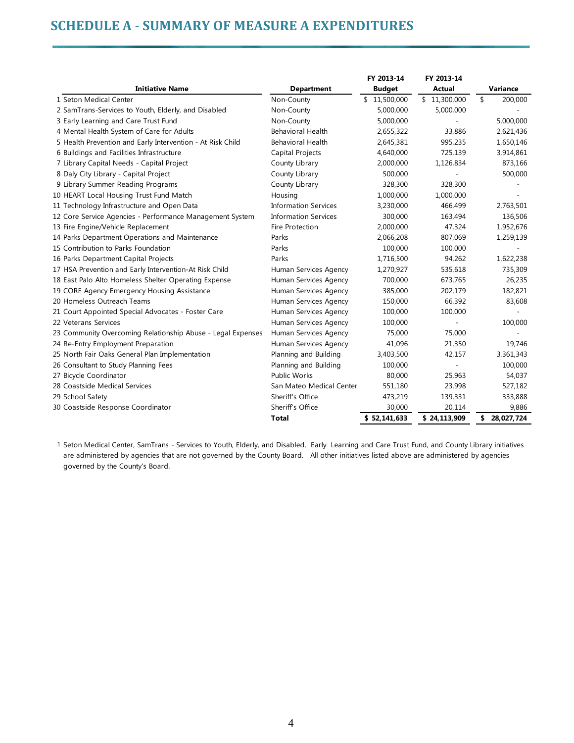# **SCHEDULE A ‐ SUMMARY OF MEASURE A EXPENDITURES**

|                                                             |                             | FY 2013-14    | FY 2013-14    |               |
|-------------------------------------------------------------|-----------------------------|---------------|---------------|---------------|
| <b>Initiative Name</b>                                      | <b>Department</b>           | <b>Budget</b> | <b>Actual</b> | Variance      |
| 1 Seton Medical Center                                      | Non-County                  | \$11,500,000  | \$11,300,000  | \$<br>200,000 |
| 2 SamTrans-Services to Youth, Elderly, and Disabled         | Non-County                  | 5,000,000     | 5,000,000     |               |
| 3 Early Learning and Care Trust Fund                        | Non-County                  | 5,000,000     |               | 5,000,000     |
| 4 Mental Health System of Care for Adults                   | <b>Behavioral Health</b>    | 2,655,322     | 33,886        | 2,621,436     |
| 5 Health Prevention and Early Intervention - At Risk Child  | Behavioral Health           | 2,645,381     | 995,235       | 1,650,146     |
| 6 Buildings and Facilities Infrastructure                   | Capital Projects            | 4,640,000     | 725,139       | 3,914,861     |
| 7 Library Capital Needs - Capital Project                   | County Library              | 2,000,000     | 1,126,834     | 873,166       |
| 8 Daly City Library - Capital Project                       | County Library              | 500,000       |               | 500,000       |
| 9 Library Summer Reading Programs                           | County Library              | 328,300       | 328,300       |               |
| 10 HEART Local Housing Trust Fund Match                     | Housing                     | 1,000,000     | 1,000,000     |               |
| 11 Technology Infrastructure and Open Data                  | <b>Information Services</b> | 3,230,000     | 466,499       | 2,763,501     |
| 12 Core Service Agencies - Performance Management System    | <b>Information Services</b> | 300,000       | 163,494       | 136,506       |
| 13 Fire Engine/Vehicle Replacement                          | Fire Protection             | 2,000,000     | 47,324        | 1,952,676     |
| 14 Parks Department Operations and Maintenance              | Parks                       | 2,066,208     | 807,069       | 1,259,139     |
| 15 Contribution to Parks Foundation                         | Parks                       | 100,000       | 100,000       |               |
| 16 Parks Department Capital Projects                        | Parks                       | 1,716,500     | 94,262        | 1,622,238     |
| 17 HSA Prevention and Early Intervention-At Risk Child      | Human Services Agency       | 1,270,927     | 535,618       | 735,309       |
| 18 East Palo Alto Homeless Shelter Operating Expense        | Human Services Agency       | 700,000       | 673,765       | 26,235        |
| 19 CORE Agency Emergency Housing Assistance                 | Human Services Agency       | 385,000       | 202,179       | 182,821       |
| 20 Homeless Outreach Teams                                  | Human Services Agency       | 150,000       | 66,392        | 83,608        |
| 21 Court Appointed Special Advocates - Foster Care          | Human Services Agency       | 100,000       | 100,000       |               |
| 22 Veterans Services                                        | Human Services Agency       | 100,000       |               | 100,000       |
| 23 Community Overcoming Relationship Abuse - Legal Expenses | Human Services Agency       | 75,000        | 75,000        |               |
| 24 Re-Entry Employment Preparation                          | Human Services Agency       | 41,096        | 21,350        | 19,746        |
| 25 North Fair Oaks General Plan Implementation              | Planning and Building       | 3,403,500     | 42,157        | 3,361,343     |
| 26 Consultant to Study Planning Fees                        | Planning and Building       | 100,000       |               | 100,000       |
| 27 Bicycle Coordinator                                      | <b>Public Works</b>         | 80,000        | 25,963        | 54,037        |
| 28 Coastside Medical Services                               | San Mateo Medical Center    | 551,180       | 23,998        | 527,182       |
| 29 School Safety                                            | Sheriff's Office            | 473,219       | 139,331       | 333,888       |
| 30 Coastside Response Coordinator                           | Sheriff's Office            | 30,000        | 20,114        | 9,886         |
|                                                             | <b>Total</b>                | \$52.141.633  | \$24,113,909  | \$ 28,027,724 |

1 Seton Medical Center, SamTrans - Services to Youth, Elderly, and Disabled, Early Learning and Care Trust Fund, and County Library initiatives are administered by agencies that are not governed by the County Board. All other initiatives listed above are administered by agencies governed by the County's Board.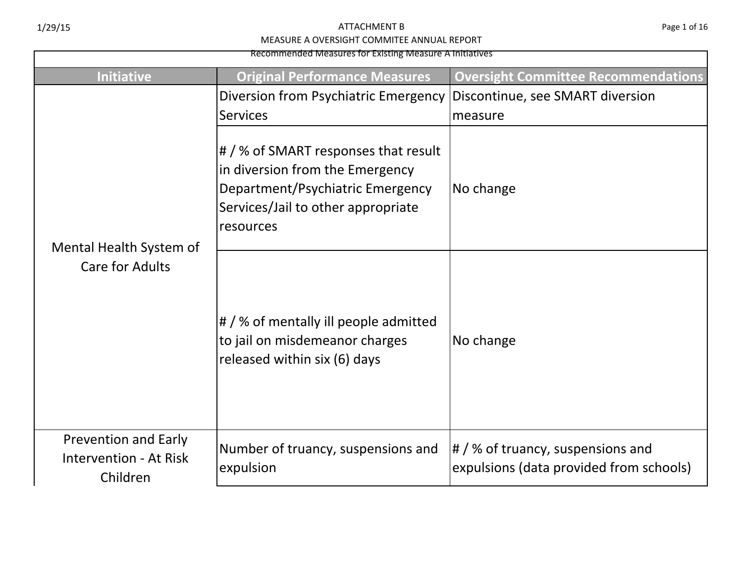Recommended Measures for Existing Measure A Initiatives

| Recommended Measures for Existing Measure A Initiatives                  |                                                                                                                                                                |                                                                                 |  |
|--------------------------------------------------------------------------|----------------------------------------------------------------------------------------------------------------------------------------------------------------|---------------------------------------------------------------------------------|--|
| Initiative                                                               | <b>Original Performance Measures</b>                                                                                                                           | <b>Oversight Committee Recommendations</b>                                      |  |
| Mental Health System of<br><b>Care for Adults</b>                        | Diversion from Psychiatric Emergency<br><b>Services</b>                                                                                                        | Discontinue, see SMART diversion<br>measure                                     |  |
|                                                                          | # / % of SMART responses that result<br>in diversion from the Emergency<br>Department/Psychiatric Emergency<br>Services/Jail to other appropriate<br>resources | No change                                                                       |  |
|                                                                          | $\#$ /% of mentally ill people admitted<br>to jail on misdemeanor charges<br>released within six (6) days                                                      | No change                                                                       |  |
| <b>Prevention and Early</b><br><b>Intervention - At Risk</b><br>Children | Number of truancy, suspensions and<br>expulsion                                                                                                                | $\#$ / % of truancy, suspensions and<br>expulsions (data provided from schools) |  |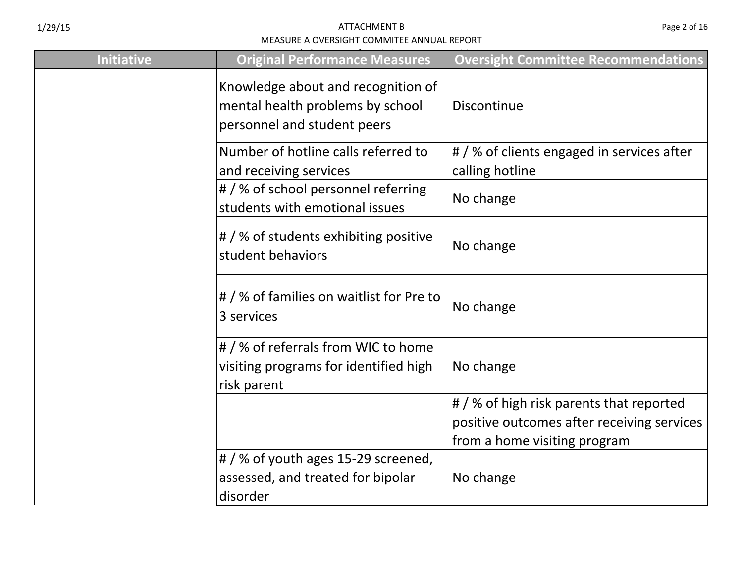| <b>Initiative</b> | <b>Original Performance Measures</b>                                                                  | <b>Oversight Committee Recommendations</b>                                                                             |
|-------------------|-------------------------------------------------------------------------------------------------------|------------------------------------------------------------------------------------------------------------------------|
|                   | Knowledge about and recognition of<br>mental health problems by school<br>personnel and student peers | Discontinue                                                                                                            |
|                   | Number of hotline calls referred to<br>and receiving services                                         | $\sharp$ / % of clients engaged in services after<br>calling hotline                                                   |
|                   | # / % of school personnel referring<br>students with emotional issues                                 | No change                                                                                                              |
|                   | # / % of students exhibiting positive<br>student behaviors                                            | No change                                                                                                              |
|                   | $\sharp$ /% of families on waitlist for Pre to<br>3 services                                          | No change                                                                                                              |
|                   | # / % of referrals from WIC to home<br>visiting programs for identified high<br>risk parent           | No change                                                                                                              |
|                   |                                                                                                       | # / % of high risk parents that reported<br>positive outcomes after receiving services<br>from a home visiting program |
|                   | # / % of youth ages 15-29 screened,<br>assessed, and treated for bipolar<br>disorder                  | No change                                                                                                              |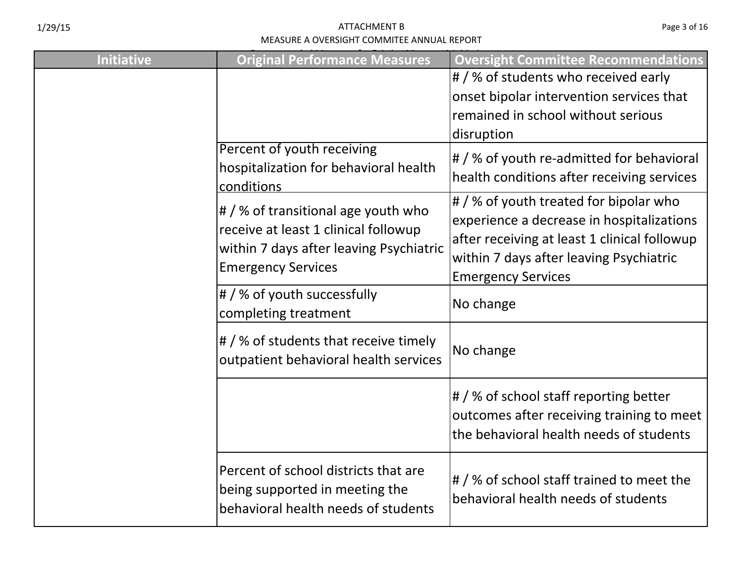| Page 3 of 16 |  |  |  |
|--------------|--|--|--|
|--------------|--|--|--|

| <b>Initiative</b> | <b>Original Performance Measures</b>                                                                                                                       | <b>Oversight Committee Recommendations</b>                                                                                                                                                                  |
|-------------------|------------------------------------------------------------------------------------------------------------------------------------------------------------|-------------------------------------------------------------------------------------------------------------------------------------------------------------------------------------------------------------|
|                   |                                                                                                                                                            | # / % of students who received early<br>onset bipolar intervention services that<br>remained in school without serious<br>disruption                                                                        |
|                   | Percent of youth receiving<br>hospitalization for behavioral health<br>conditions                                                                          | # / % of youth re-admitted for behavioral<br>health conditions after receiving services                                                                                                                     |
|                   | $\sharp$ / % of transitional age youth who<br>receive at least 1 clinical followup<br>within 7 days after leaving Psychiatric<br><b>Emergency Services</b> | # / % of youth treated for bipolar who<br>experience a decrease in hospitalizations<br>after receiving at least 1 clinical followup<br>within 7 days after leaving Psychiatric<br><b>Emergency Services</b> |
|                   | # / % of youth successfully<br>completing treatment                                                                                                        | No change                                                                                                                                                                                                   |
|                   | # / % of students that receive timely<br>outpatient behavioral health services                                                                             | No change                                                                                                                                                                                                   |
|                   |                                                                                                                                                            | # / % of school staff reporting better<br>outcomes after receiving training to meet<br>the behavioral health needs of students                                                                              |
|                   | Percent of school districts that are<br>being supported in meeting the<br>behavioral health needs of students                                              | # / % of school staff trained to meet the<br>behavioral health needs of students                                                                                                                            |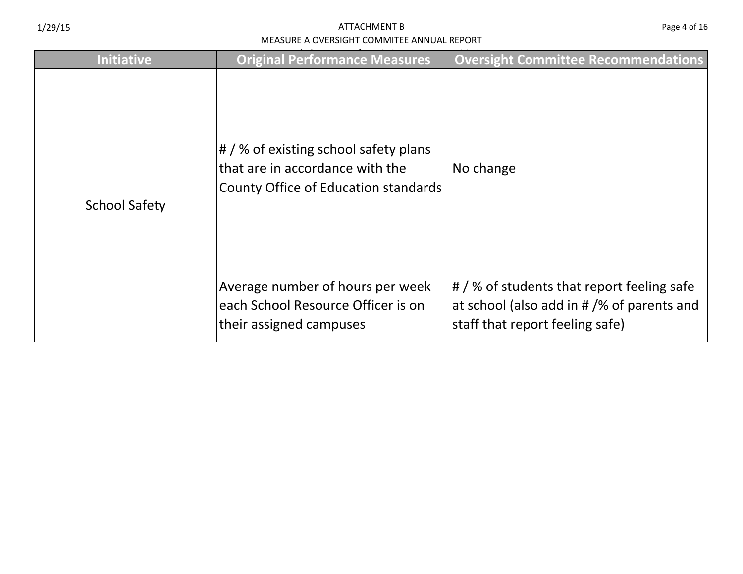| <b>Initiative</b>    | <b>Original Performance Measures</b>                                                                                     | <b>Oversight Committee Recommendations</b>                                                                                                         |
|----------------------|--------------------------------------------------------------------------------------------------------------------------|----------------------------------------------------------------------------------------------------------------------------------------------------|
| <b>School Safety</b> | $\sharp$ / % of existing school safety plans<br>lthat are in accordance with the<br>County Office of Education standards | No change                                                                                                                                          |
|                      | Average number of hours per week<br>each School Resource Officer is on<br>their assigned campuses                        | $\left \frac{1}{2}\right $ % of students that report feeling safe<br>at school (also add in # /% of parents and<br>staff that report feeling safe) |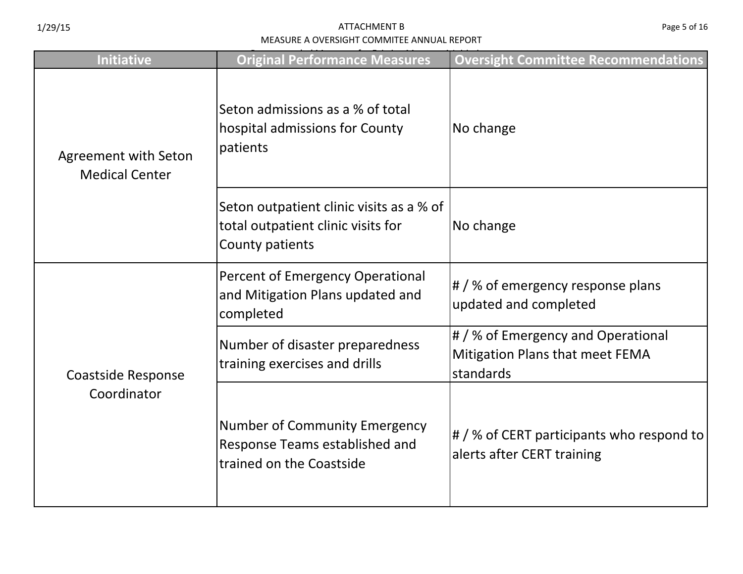| <b>Initiative</b>                                    | <b>Original Performance Measures</b>                                                               | <b>Oversight Committee Recommendations</b>                                         |
|------------------------------------------------------|----------------------------------------------------------------------------------------------------|------------------------------------------------------------------------------------|
| <b>Agreement with Seton</b><br><b>Medical Center</b> | Seton admissions as a % of total<br>hospital admissions for County<br>patients                     | No change                                                                          |
|                                                      | Seton outpatient clinic visits as a % of<br>total outpatient clinic visits for<br>County patients  | No change                                                                          |
|                                                      | Percent of Emergency Operational<br>and Mitigation Plans updated and<br>completed                  | # / % of emergency response plans<br>updated and completed                         |
| <b>Coastside Response</b>                            | Number of disaster preparedness<br>training exercises and drills                                   | # / % of Emergency and Operational<br>Mitigation Plans that meet FEMA<br>standards |
| Coordinator                                          | <b>Number of Community Emergency</b><br>Response Teams established and<br>trained on the Coastside | $\#$ /% of CERT participants who respond to<br>alerts after CERT training          |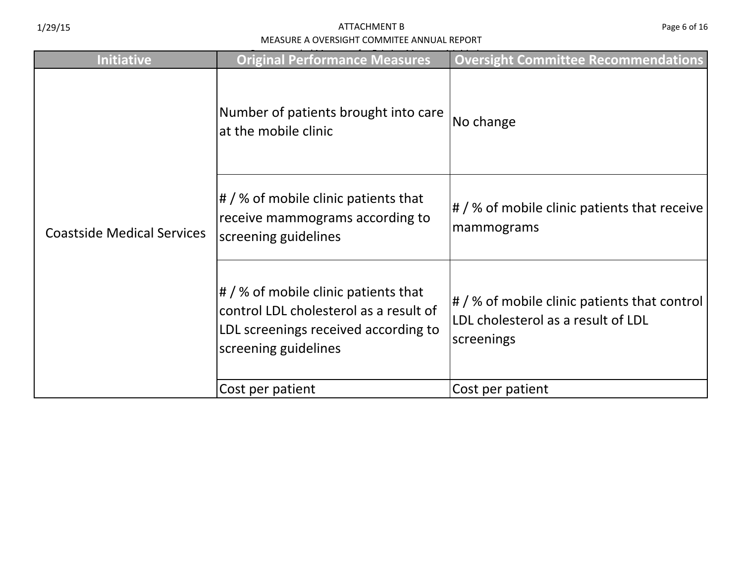| <b>Initiative</b>                 | <b>Original Performance Measures</b>                                                                                                                  | <b>Oversight Committee Recommendations</b>                                                              |
|-----------------------------------|-------------------------------------------------------------------------------------------------------------------------------------------------------|---------------------------------------------------------------------------------------------------------|
|                                   | Number of patients brought into care<br>at the mobile clinic                                                                                          | No change                                                                                               |
| <b>Coastside Medical Services</b> | # / % of mobile clinic patients that<br>receive mammograms according to<br>screening guidelines                                                       | $\left \frac{1}{2}\right $ % of mobile clinic patients that receive<br> mammograms                      |
|                                   | $\sharp$ / % of mobile clinic patients that<br>control LDL cholesterol as a result of<br>LDL screenings received according to<br>screening guidelines | $\sharp$ / % of mobile clinic patients that control<br>LDL cholesterol as a result of LDL<br>screenings |
|                                   | Cost per patient                                                                                                                                      | Cost per patient                                                                                        |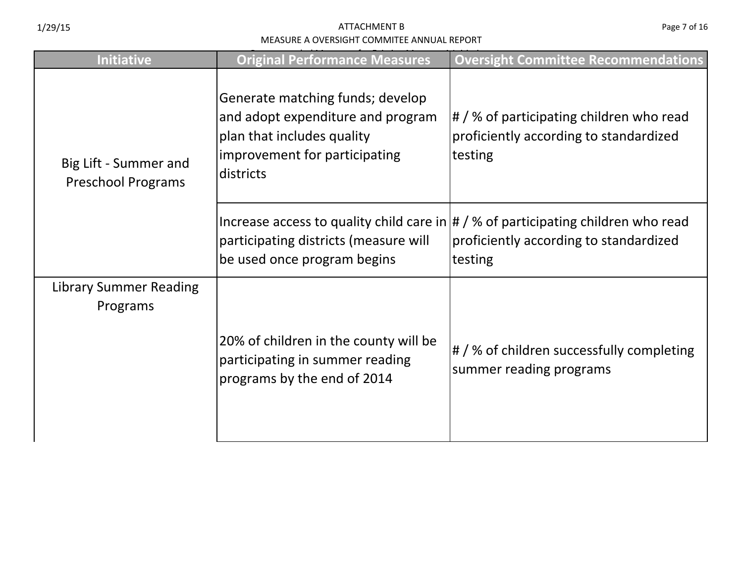| <b>Initiative</b>                                  | <b>Original Performance Measures</b>                                                                                                              | <b>Oversight Committee Recommendations</b>                                                                                                        |
|----------------------------------------------------|---------------------------------------------------------------------------------------------------------------------------------------------------|---------------------------------------------------------------------------------------------------------------------------------------------------|
| Big Lift - Summer and<br><b>Preschool Programs</b> | Generate matching funds; develop<br>and adopt expenditure and program<br>plan that includes quality<br>improvement for participating<br>districts | $\sharp$ / % of participating children who read<br>proficiently according to standardized<br>testing                                              |
|                                                    | participating districts (measure will<br>be used once program begins                                                                              | Increase access to quality child care in $\frac{1}{4}$ /% of participating children who read<br>proficiently according to standardized<br>testing |
| <b>Library Summer Reading</b><br>Programs          | 20% of children in the county will be<br>participating in summer reading<br>programs by the end of 2014                                           | # / % of children successfully completing<br>summer reading programs                                                                              |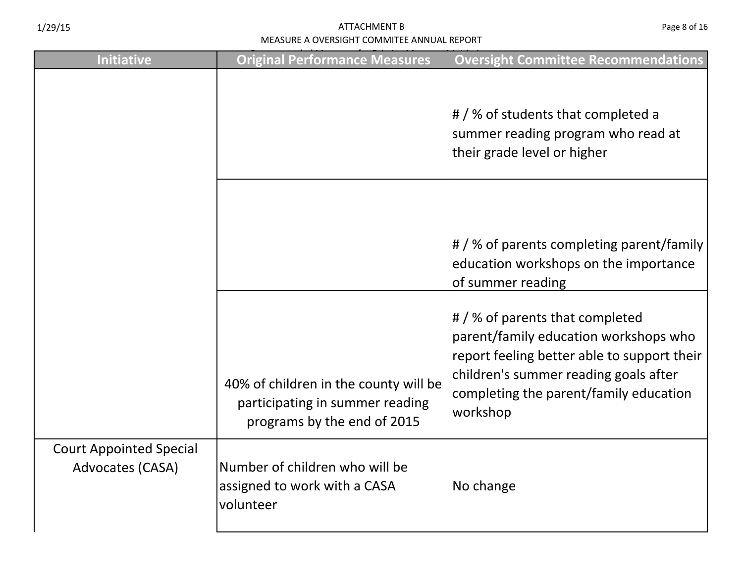| <b>Initiative</b>                                  | <b>Original Performance Measures</b>                                                                    | <b>Oversight Committee Recommendations</b>                                                                                                                                                                             |
|----------------------------------------------------|---------------------------------------------------------------------------------------------------------|------------------------------------------------------------------------------------------------------------------------------------------------------------------------------------------------------------------------|
|                                                    |                                                                                                         | $\sharp$ / % of students that completed a<br>summer reading program who read at<br>their grade level or higher                                                                                                         |
|                                                    |                                                                                                         | # / % of parents completing parent/family<br>education workshops on the importance<br>of summer reading                                                                                                                |
|                                                    | 40% of children in the county will be<br>participating in summer reading<br>programs by the end of 2015 | # / % of parents that completed<br>parent/family education workshops who<br>report feeling better able to support their<br>children's summer reading goals after<br>completing the parent/family education<br>workshop |
| <b>Court Appointed Special</b><br>Advocates (CASA) | Number of children who will be<br>assigned to work with a CASA<br>volunteer                             | No change                                                                                                                                                                                                              |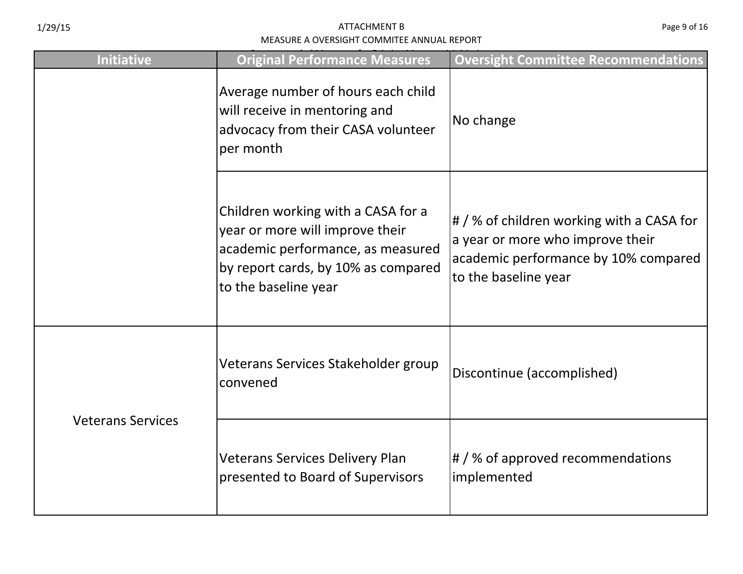| <b>Initiative</b>        | <b>Original Performance Measures</b>                                                                                                                                      | <b>Oversight Committee Recommendations</b>                                                                                                    |
|--------------------------|---------------------------------------------------------------------------------------------------------------------------------------------------------------------------|-----------------------------------------------------------------------------------------------------------------------------------------------|
|                          | Average number of hours each child<br>will receive in mentoring and<br>advocacy from their CASA volunteer<br>per month                                                    | No change                                                                                                                                     |
|                          | Children working with a CASA for a<br>year or more will improve their<br>academic performance, as measured<br>by report cards, by 10% as compared<br>to the baseline year | # / % of children working with a CASA for<br>a year or more who improve their<br>academic performance by 10% compared<br>to the baseline year |
| <b>Veterans Services</b> | Veterans Services Stakeholder group<br>convened                                                                                                                           | Discontinue (accomplished)                                                                                                                    |
|                          | <b>Veterans Services Delivery Plan</b><br>presented to Board of Supervisors                                                                                               | $\#$ /% of approved recommendations<br>implemented                                                                                            |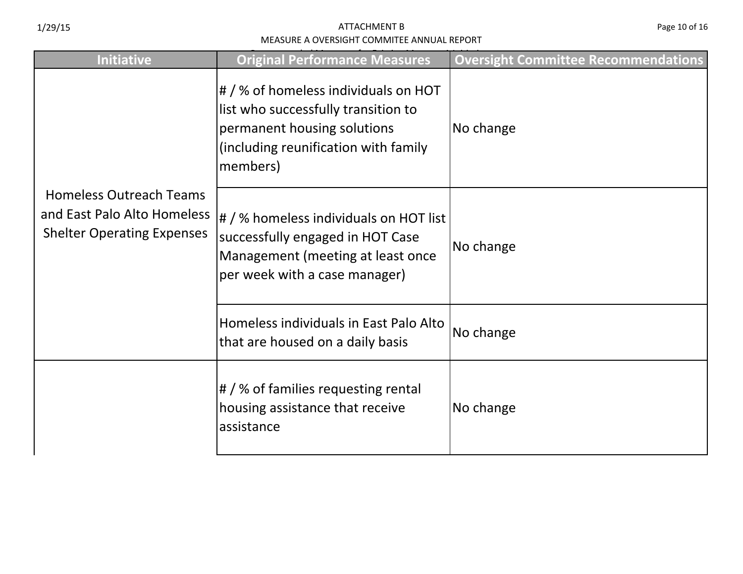| <b>Initiative</b>                                                                                  | <b>Original Performance Measures</b>                                                                                                                           | <b>Oversight Committee Recommendations</b> |
|----------------------------------------------------------------------------------------------------|----------------------------------------------------------------------------------------------------------------------------------------------------------------|--------------------------------------------|
| <b>Homeless Outreach Teams</b><br>and East Palo Alto Homeless<br><b>Shelter Operating Expenses</b> | # / % of homeless individuals on HOT<br>list who successfully transition to<br>permanent housing solutions<br>(including reunification with family<br>members) | No change                                  |
|                                                                                                    | # / % homeless individuals on HOT list<br>successfully engaged in HOT Case<br>Management (meeting at least once<br>per week with a case manager)               | No change                                  |
|                                                                                                    | Homeless individuals in East Palo Alto<br>that are housed on a daily basis                                                                                     | No change                                  |
|                                                                                                    | $\#$ / % of families requesting rental<br>housing assistance that receive<br>assistance                                                                        | No change                                  |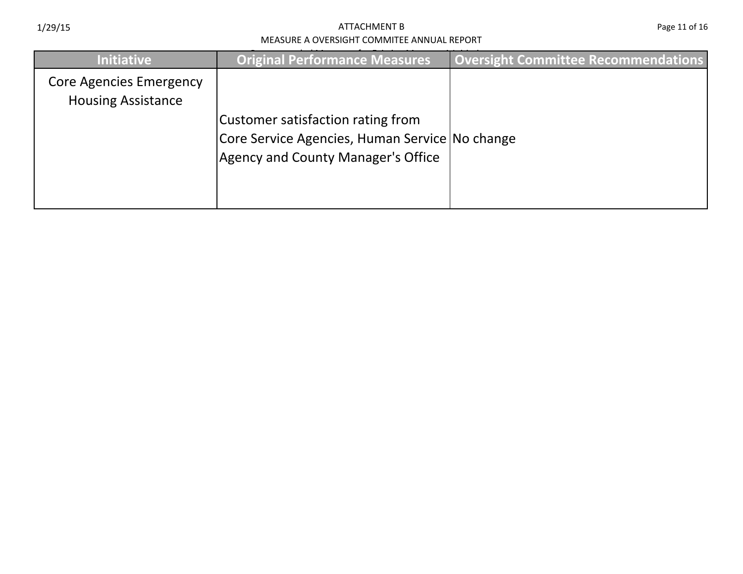| <b>Initiative</b>                                           | <b>Original Performance Measures</b>                                                                                             | <b>Oversight Committee Recommendations</b> |
|-------------------------------------------------------------|----------------------------------------------------------------------------------------------------------------------------------|--------------------------------------------|
| <b>Core Agencies Emergency</b><br><b>Housing Assistance</b> | Customer satisfaction rating from<br>Core Service Agencies, Human Service No change<br><b>Agency and County Manager's Office</b> |                                            |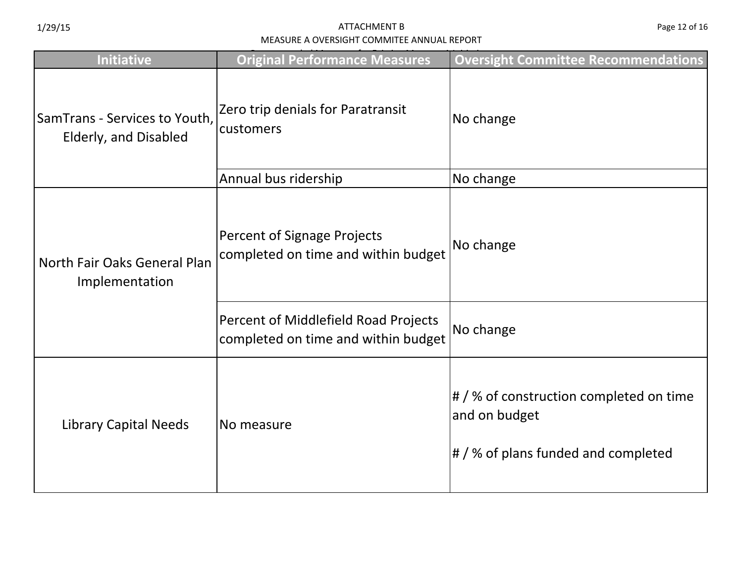| <b>Initiative</b>                                      | <b>Original Performance Measures</b>                                        | <b>Oversight Committee Recommendations</b>                                                            |
|--------------------------------------------------------|-----------------------------------------------------------------------------|-------------------------------------------------------------------------------------------------------|
| SamTrans - Services to Youth,<br>Elderly, and Disabled | Zero trip denials for Paratransit<br>customers                              | No change                                                                                             |
|                                                        | Annual bus ridership                                                        | No change                                                                                             |
| North Fair Oaks General Plan<br>Implementation         | <b>Percent of Signage Projects</b><br>completed on time and within budget   | No change                                                                                             |
|                                                        | Percent of Middlefield Road Projects<br>completed on time and within budget | No change                                                                                             |
| <b>Library Capital Needs</b>                           | No measure                                                                  | $\sharp$ /% of construction completed on time<br>and on budget<br># / % of plans funded and completed |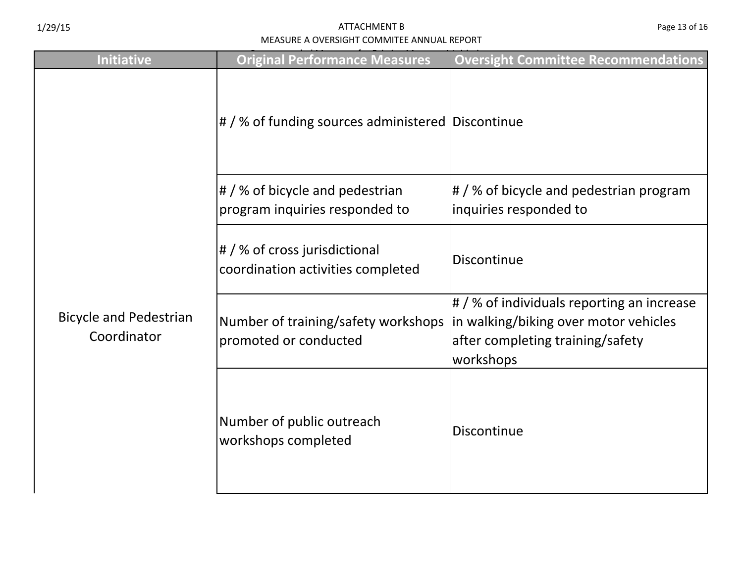| <b>Initiative</b>                            | <b>Original Performance Measures</b>                                                                | <b>Oversight Committee Recommendations</b>                                                  |
|----------------------------------------------|-----------------------------------------------------------------------------------------------------|---------------------------------------------------------------------------------------------|
| <b>Bicycle and Pedestrian</b><br>Coordinator | # / % of funding sources administered Discontinue                                                   |                                                                                             |
|                                              | $\left  \frac{1}{2} \right $ % of bicycle and pedestrian<br>program inquiries responded to          | # / % of bicycle and pedestrian program<br>inquiries responded to                           |
|                                              | $\sharp$ / % of cross jurisdictional<br>coordination activities completed                           | Discontinue                                                                                 |
|                                              | Number of training/safety workshops  in walking/biking over motor vehicles<br>promoted or conducted | # / % of individuals reporting an increase<br>after completing training/safety<br>workshops |
|                                              | Number of public outreach<br>workshops completed                                                    | Discontinue                                                                                 |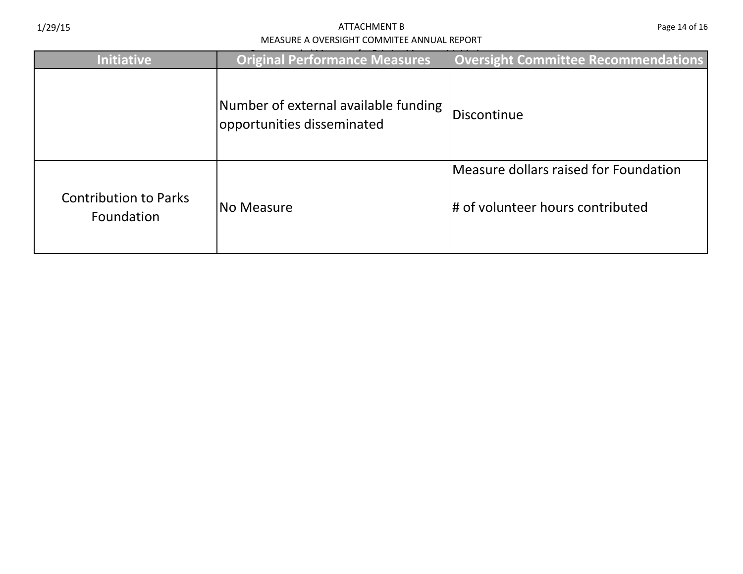| <b>Initiative</b>                          | <b>Original Performance Measures</b>                               | <b>Oversight Committee Recommendations</b>                                |
|--------------------------------------------|--------------------------------------------------------------------|---------------------------------------------------------------------------|
|                                            | Number of external available funding<br>opportunities disseminated | Discontinue                                                               |
| <b>Contribution to Parks</b><br>Foundation | INo Measure                                                        | Measure dollars raised for Foundation<br># of volunteer hours contributed |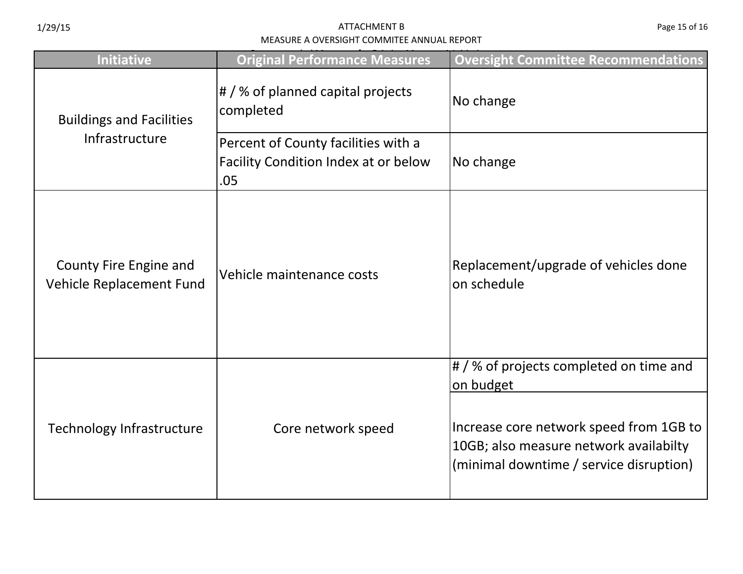| Page 15 of 16 |  |  |  |
|---------------|--|--|--|
|---------------|--|--|--|

| <b>Initiative</b>                                  | <b>Original Performance Measures</b>                                               | <b>Oversight Committee Recommendations</b>                                                                                                                                                 |
|----------------------------------------------------|------------------------------------------------------------------------------------|--------------------------------------------------------------------------------------------------------------------------------------------------------------------------------------------|
| <b>Buildings and Facilities</b><br>Infrastructure  | # / % of planned capital projects<br>completed                                     | No change                                                                                                                                                                                  |
|                                                    | Percent of County facilities with a<br>Facility Condition Index at or below<br>.05 | No change                                                                                                                                                                                  |
| County Fire Engine and<br>Vehicle Replacement Fund | Vehicle maintenance costs                                                          | Replacement/upgrade of vehicles done<br>on schedule                                                                                                                                        |
| Technology Infrastructure                          | Core network speed                                                                 | $\sharp$ /% of projects completed on time and<br>on budget<br>Increase core network speed from 1GB to<br>10GB; also measure network availabilty<br>(minimal downtime / service disruption) |